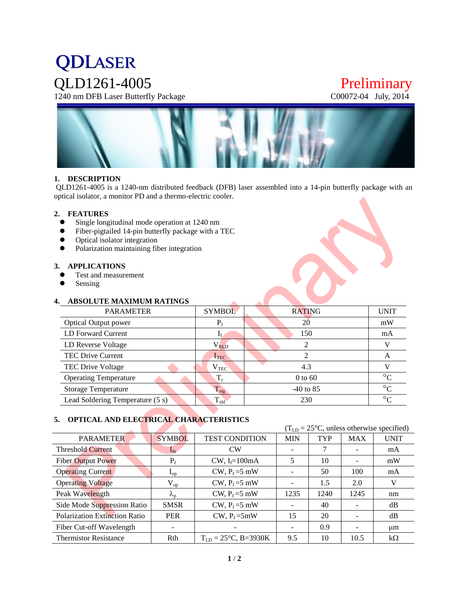# **QDLASER**

1240 nm DFB Laser Butterfly Package

## QLD1261-4005<br>
1240 nm DFB Laser Butterfly Package C00072-04 July, 2014



#### **1. DESCRIPTION**

QLD1261-4005 is a 1240-nm distributed feedback (DFB) laser assembled into a 14-pin butterfly package with an optical isolator, a monitor PD and a thermo-electric cooler.

#### **2. FEATURES**

- Single longitudinal mode operation at 1240 nm
- Fiber-pigtailed 14-pin butterfly package with a TEC<br>• Optical isolator integration
- Optical isolator integration
- Polarization maintaining fiber integration

#### **3. APPLICATIONS**

- Test and measurement
- Sensing

#### **4. ABSOLUTE MAXIMUM RATINGS**

| <b>SYMBOL</b>    | <b>RATING</b> | <b>UNIT</b> |
|------------------|---------------|-------------|
| $P_f$            | 20            | mW          |
| $I_{\rm f}$      | 150           | mA          |
| $\rm V_{RLD}$    |               |             |
| $I_{\rm TEC}$    |               | A           |
| $V_{TEC}$        | 4.3           |             |
| $T_c$            | $0$ to 60     | $\circ$     |
| $T_{\text{stg}}$ | $-40$ to 85   | $\circ$     |
| $T_{\rm sld}$    | 230           | $\circ$     |
|                  |               |             |

#### **5. OPTICAL AND ELECTRICAL CHARACTERISTICS**

|                                      |                   |                                  |            |            |            | $(TLD = 25oC, unless otherwise specified)$ |
|--------------------------------------|-------------------|----------------------------------|------------|------------|------------|--------------------------------------------|
| <b>PARAMETER</b>                     | <b>SYMBOL</b>     | <b>TEST CONDITION</b>            | <b>MIN</b> | <b>TYP</b> | <b>MAX</b> | <b>UNIT</b>                                |
| Threshold Current                    | $I_{th}$          | CW                               |            |            |            | mA                                         |
| <b>Fiber Output Power</b>            | $P_f$             | CW, $I_f = 100 \text{mA}$        | 5          | 10         |            | mW                                         |
| <b>Operating Current</b>             | $I_{op}$          | CW, $P_f = 5$ mW                 |            | 50         | 100        | mA                                         |
| <b>Operating Voltage</b>             | $\rm V_{op}$      | CW, $P_f = 5$ mW                 |            | 1.5        | 2.0        | V                                          |
| Peak Wavelength                      | $\lambda_{\rm n}$ | CW, $P_f = 5$ mW                 | 1235       | 1240       | 1245       | nm                                         |
| Side Mode Suppression Ratio          | <b>SMSR</b>       | CW, $P_f = 5$ mW                 |            | 40         |            | dB                                         |
| <b>Polarization Extinction Ratio</b> | <b>PER</b>        | CW, $P_f = 5mW$                  | 15         | 20         |            | dB                                         |
| Fiber Cut-off Wavelength             |                   |                                  |            | 0.9        |            | μm                                         |
| <b>Thermistor Resistance</b>         | Rth               | $T_{ID} = 25^{\circ}C$ , B=3930K | 9.5        | 10         | 10.5       | $k\Omega$                                  |